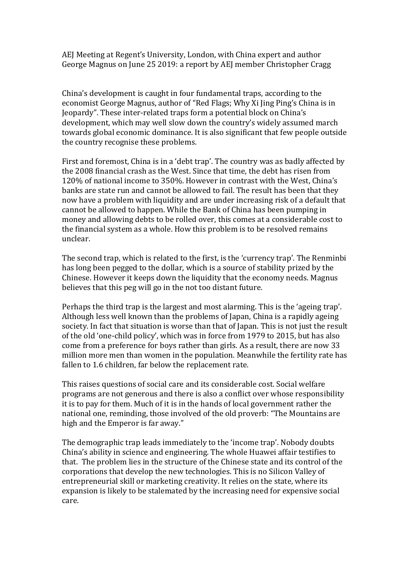AEJ Meeting at Regent's University, London, with China expert and author George Magnus on June 25 2019: a report by AEJ member Christopher Cragg

China's development is caught in four fundamental traps, according to the economist George Magnus, author of "Red Flags; Why Xi Jing Ping's China is in Jeopardy". These inter-related traps form a potential block on China's development, which may well slow down the country's widely assumed march towards global economic dominance. It is also significant that few people outside the country recognise these problems.

First and foremost, China is in a 'debt trap'. The country was as badly affected by the 2008 financial crash as the West. Since that time, the debt has risen from 120% of national income to 350%. However in contrast with the West, China's banks are state run and cannot be allowed to fail. The result has been that they now have a problem with liquidity and are under increasing risk of a default that cannot be allowed to happen. While the Bank of China has been pumping in money and allowing debts to be rolled over, this comes at a considerable cost to the financial system as a whole. How this problem is to be resolved remains unclear.

The second trap, which is related to the first, is the 'currency trap'. The Renminbi has long been pegged to the dollar, which is a source of stability prized by the Chinese. However it keeps down the liquidity that the economy needs. Magnus believes that this peg will go in the not too distant future.

Perhaps the third trap is the largest and most alarming. This is the 'ageing trap'. Although less well known than the problems of Japan, China is a rapidly ageing society. In fact that situation is worse than that of Japan. This is not just the result of the old 'one-child policy', which was in force from 1979 to 2015, but has also come from a preference for boys rather than girls. As a result, there are now 33 million more men than women in the population. Meanwhile the fertility rate has fallen to 1.6 children, far below the replacement rate.

This raises questions of social care and its considerable cost. Social welfare programs are not generous and there is also a conflict over whose responsibility it is to pay for them. Much of it is in the hands of local government rather the national one, reminding, those involved of the old proverb: "The Mountains are high and the Emperor is far away."

The demographic trap leads immediately to the 'income trap'. Nobody doubts China's ability in science and engineering. The whole Huawei affair testifies to that. The problem lies in the structure of the Chinese state and its control of the corporations that develop the new technologies. This is no Silicon Valley of entrepreneurial skill or marketing creativity. It relies on the state, where its expansion is likely to be stalemated by the increasing need for expensive social care.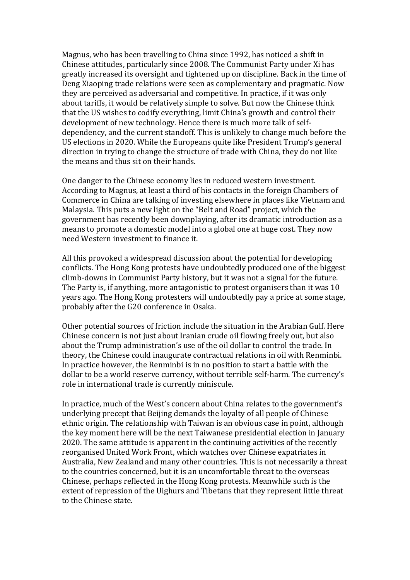Magnus, who has been travelling to China since 1992, has noticed a shift in Chinese attitudes, particularly since 2008. The Communist Party under Xi has greatly increased its oversight and tightened up on discipline. Back in the time of Deng Xiaoping trade relations were seen as complementary and pragmatic. Now they are perceived as adversarial and competitive. In practice, if it was only about tariffs, it would be relatively simple to solve. But now the Chinese think that the US wishes to codify everything, limit China's growth and control their development of new technology. Hence there is much more talk of selfdependency, and the current standoff. This is unlikely to change much before the US elections in 2020. While the Europeans quite like President Trump's general direction in trying to change the structure of trade with China, they do not like the means and thus sit on their hands.

One danger to the Chinese economy lies in reduced western investment. According to Magnus, at least a third of his contacts in the foreign Chambers of Commerce in China are talking of investing elsewhere in places like Vietnam and Malaysia. This puts a new light on the "Belt and Road" project, which the government has recently been downplaying, after its dramatic introduction as a means to promote a domestic model into a global one at huge cost. They now need Western investment to finance it.

All this provoked a widespread discussion about the potential for developing conflicts. The Hong Kong protests have undoubtedly produced one of the biggest climb-downs in Communist Party history, but it was not a signal for the future. The Party is, if anything, more antagonistic to protest organisers than it was 10 years ago. The Hong Kong protesters will undoubtedly pay a price at some stage, probably after the G20 conference in Osaka.

Other potential sources of friction include the situation in the Arabian Gulf. Here Chinese concern is not just about Iranian crude oil flowing freely out, but also about the Trump administration's use of the oil dollar to control the trade. In theory, the Chinese could inaugurate contractual relations in oil with Renminbi. In practice however, the Renminbi is in no position to start a battle with the dollar to be a world reserve currency, without terrible self-harm. The currency's role in international trade is currently miniscule.

In practice, much of the West's concern about China relates to the government's underlying precept that Beijing demands the loyalty of all people of Chinese ethnic origin. The relationship with Taiwan is an obvious case in point, although the key moment here will be the next Taiwanese presidential election in January 2020. The same attitude is apparent in the continuing activities of the recently reorganised United Work Front, which watches over Chinese expatriates in Australia, New Zealand and many other countries. This is not necessarily a threat to the countries concerned, but it is an uncomfortable threat to the overseas Chinese, perhaps reflected in the Hong Kong protests. Meanwhile such is the extent of repression of the Uighurs and Tibetans that they represent little threat to the Chinese state.